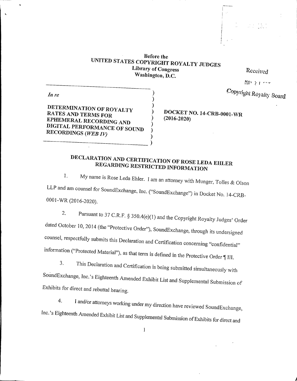Before the<br>UNITED STATES COPYRIGHT ROYALTY JUDGES<br>Library of Congress Washington, D.C.

> ) ) )

) ) ) )

Received

MAY 27 com

Copyright Royalty Board

DETERMINATION OF ROYALTY RATES AND TERMS FOR DIGITAL PERFORMANCE OF SOUND<br>RECORDINGS (WEB IV)

In re

) DOCKET NO. 14-CRB-0001-WR ) (2016-2020)

## DECLARATION AND CERTIFICATION OF ROSE LEDA EHLER<br>REGARDING RESTRICTED INFORMATION REGARDING RESTRICTED INFORMATION

1. My name is Rose Leda Ehler. I am an attorney with Munger, Tolles & Olson LLP and am counsel for SoundExchange, Inc. ("SoundExchange") in Docket No. 14-CRB-0001-NR (2016-2020).

2. Pursuant to 37 C.R.F.  $\S 350.4(e)(1)$  and the Copyright Royalty Judges' Order dated October 10, <sup>2014</sup> (the "Protective Order"), SoundExchange, through its undersigned counsel, respectfully submits this Declaration and Certification concerning "confidential" information ("Protected Material"), as that term is defined in the Protective Order  $\P$  III.<br>3. This Declaration and Guide in

This Declaration and Certification is being submitted simultaneously with SoundExchange, Inc,'s Eighteenth Amended Exhibit List and Supplemental Submission of Exhibits for direct and rebuttal hearing.

4. <sup>I</sup> and/or attorneys working under my direction have reviewed SoundExchange, Inc.'s Eighteenth Amended Exhibit List and Supplemental Submission of Exhibits for direct and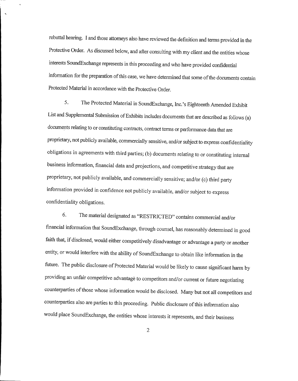rebuttal hearing. <sup>I</sup> and those attorneys also have reviewed the definition and terms provided in the Protective Order. As discussed below, and after consulting with my client and the entities whose interests SoundExchange represents in this proceeding and who have provided confidential information for the preparation of this case, we have determined that some of the documents contain Protected Material in accordance with the Protective Order.

5. The Protected Material in SoundExchange, Inc.'s Eighteenth Amended Exhibit List and Supplemental Submission of Exhibits includes documents that are described as follows (a) documents relating to or constituting contracts, contract terms or performance data that are proprietary, not publicly available, commercially sensitive, and/or subject to express confidentiality obligations in agreements with third parties; (b) documents relating to or constituting internal business information, financial data and projections, and competitive strategy that are proprietary, not publicly available, and commercially sensitive; and/or (c) third party information provided in confidence not publicly available, and/or subject to express confidentiality obligations.

6. The material designated as "RESTRICTED" contains commercial and/or financial information that SoundExchange, through counsel, has reasonably determined in good faith that, if disclosed, would either competitively disadvantage or advantage a party or another entity, or would interfere with the ability of SoundExchange to obtain like information in the future. The public disclosure of Protected Material would be likely to cause significant harm by providing an unfair competitive advantage to competitors and/or current or future negotiating counterparties of those whose information would be disclosed. Many but not all competitors and counterparties also are parties to this proceeding. Public disclosure ofthis information also would place SoundExchange, the entities whose interests it represents, and their business

 $\overline{2}$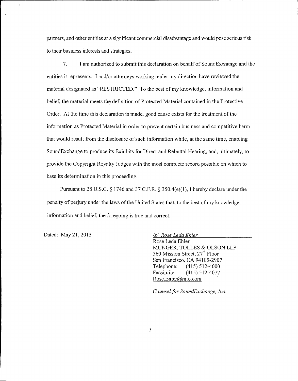partners, and other entities at a significant commercial disadvantage and would pose serious risk to their business interests and strategies.

7. <sup>I</sup> am authorized to submit this declaration on behalf of SoundExchange and the entities it represents. I and/or attorneys working under my direction have reviewed the material designated as "RESTRICTED." To the best of my knowledge, information and belief, the material meets the definition of Protected Material contained in the Protective Order. At the time this declaration is made, good cause exists for the treatment of the information as Protected Material in order to prevent certain business and competitive harm that would result from the disclosure of such information while, at the same time, enabling SoundExchange to produce its Exhibits for Direct and Rebuttal Hearing, and, ultimately, to provide the Copyright Royalty Judges with the most complete record possible on which to base its determination in this proceeding.

Pursuant to 28 U.S.C. § 1746 and 37 C.F.R. § 350.4(e)(1), I hereby declare under the penalty of perjury under the laws ofthe United States that, to the best ofmy knowledge, information and belief, the foregoing is true and correct.

Dated: May 21, 2015 Islam November 15/ Rose Leda Ehler

Rose Leda Ehler MUNGER, TOLLES & OLSON LLP 560 Mission Street, 27<sup>th</sup> Floor San Francisco, CA 94105-2907 Telephone: (415) 512-4000<br>Facsimile: (415) 512-4077 (415) 512-4077 Rose.Ehler@mto.com

Counsel for SoundExchange, Inc.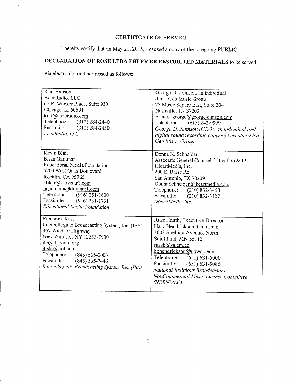## CERTIFICATE OF SERVICE

I hereby certify that on May 21, 2015, I caused a copy of the foregoing PUBLIC —

## DECLARATION OF ROSE LEDA EHLER RE RESTRICTED MATERIALS to be served

via electronic mail addressed as follows:

 $\ddot{\phantom{a}}$ 

| Kurt Hanson<br>AccuRadio, LLC<br>65 E. Wacker Place, Suite 930<br>Chicago, IL 60601<br>kurt@accuradio.com<br>Telephone: (312) 284-2440<br>Facsimile: (312) 284-2450<br>AccuRadio, LLC                                                                                    | George D. Johnson, an individual<br>d.b.a. Geo Music Group<br>23 Music Square East, Suite 204<br>Nashville, TN 37203<br>E-mail: george@georgejohnson.com<br>Telephone: (615) 242-9999<br>George D. Johnson (GEO), an individual and<br>digital sound recording copyright creator d.b.a.<br>Geo Music Group          |
|--------------------------------------------------------------------------------------------------------------------------------------------------------------------------------------------------------------------------------------------------------------------------|---------------------------------------------------------------------------------------------------------------------------------------------------------------------------------------------------------------------------------------------------------------------------------------------------------------------|
| Kevin Blair<br>Brian Gantman<br>Educational Media Foundation<br>5700 West Oaks Boulevard<br>Rocklin, CA 95765<br>kblair@kloveair1.com<br>bgantman@kloveair1.com<br>Telephone:<br>$(916)$ 251-1600<br>Facsimile: (916) 251-1731<br>Educational Media Foundation           | Donna K. Schneider<br>Associate General Counsel, Litigation & IP<br>iHeartMedia, Inc.<br>200 E. Basse Rd.<br>San Antonio, TX 78209<br>DonnaSchneider@iheartmedia.com<br>Telephone: (210) 832-3468<br>Facsimile: (210) 832-3127<br>iHeartMedia, Inc.                                                                 |
| Frederick Kass<br>Intercollegiate Broadcasting System, Inc. (IBS)<br>367 Windsor Highway<br>New Windsor, NY 12553-7900<br>ibs@ibsradio.org<br>ibshq@aol.com<br>Telephone: (845) 565-0003<br>Facsimile: (845) 565-7446<br>Intercollegiate Broadcasting System, Inc. (IBS) | Russ Hauth, Executive Director<br>Harv Hendrickson, Chairman<br>3003 Snelling Avenue, North<br>Saint Paul, MN 55113<br>russh@salem.cc<br>hphendrickson@unwsp.edu<br>Telephone: (651) 631-5000<br>Facsimile: (651) 631-5086<br>National Religious Broadcasters<br>NonCommercial Music License Committee<br>(NRBNMLC) |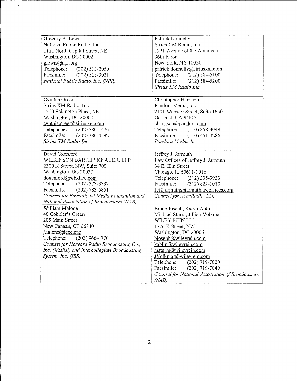| Gregory A. Lewis<br>National Public Radio, Inc.<br>1111 North Capital Street, NE<br>Washington, DC 20002<br>glewis@npr.org<br>Telephone:<br>$(202)$ 513-2050<br>Facsimile:<br>$(202) 513 - 3021$                                                                                                   | Patrick Donnelly<br>Sirius XM Radio, Inc.<br>1221 Avenue of the Americas<br>36th Floor<br>New York, NY 10020<br>patrick.donnelly@siriusxm.com<br>Telephone:<br>$(212) 584 - 5100$                                                                                                                                                                            |
|----------------------------------------------------------------------------------------------------------------------------------------------------------------------------------------------------------------------------------------------------------------------------------------------------|--------------------------------------------------------------------------------------------------------------------------------------------------------------------------------------------------------------------------------------------------------------------------------------------------------------------------------------------------------------|
| National Public Radio, Inc. (NPR)                                                                                                                                                                                                                                                                  | Facsimile:<br>$(212) 584 - 5200$<br>Sirius XM Radio Inc.                                                                                                                                                                                                                                                                                                     |
| Cynthia Greer<br>Sirius XM Radio, Inc.<br>1500 Eckington Place, NE<br>Washington, DC 20002<br>cynthia.greer@siriusxm.com<br>Telephone: (202) 380-1476<br>Facsimile: (202) 380-4592<br>Sirius XM Radio Inc.                                                                                         | Christopher Harrison<br>Pandora Media, Inc.<br>2101 Webster Street, Suite 1650<br>Oakland, CA 94612<br>charrison@pandora.com<br>Telephone: (510) 858-3049<br>Facsimile:<br>$(510)$ 451-4286<br>Pandora Media, Inc.                                                                                                                                           |
| David Oxenford<br>WILKINSON BARKER KNAUER, LLP<br>2300 N Street, NW, Suite 700<br>Washington, DC 20037<br>doxenford@wbklaw.com<br>Telephone:<br>$(202)$ 373-3337<br>Facsimile:<br>$(202) 783 - 5851$<br>Counsel for Educational Media Foundation and<br>National Association of Broadcasters (NAB) | Jeffrey J. Jarmuth<br>Law Offices of Jeffrey J. Jarmuth<br>34 E. Elm Street<br>Chicago, IL 60611-1016<br>Telephone: (312) 335-9933<br>Facsimile:<br>$(312) 822 - 1010$<br>Jeff.jarmuth@jarmuthlawoffices.com<br>Counsel for AccuRadio, LLC                                                                                                                   |
| William Malone<br>40 Cobbler's Green<br>205 Main Street<br>New Canaan, CT 06840<br>Malone@ieee.org<br>Telephone:<br>$(203)$ 966-4770<br>Counsel for Harvard Radio Broadcasting Co.,<br>Inc. (WHRB) and Intercollegiate Broadcasting<br>System, Inc. (IBS)                                          | Bruce Joseph, Karyn Ablin<br>Michael Sturm, Jillian Volkmar<br>WILEY REIN LLP<br>1776 K Street, NW<br>Washington, DC 20006<br>bjoseph@wileyrein.com<br>kablin@wileyrein.com<br>msturm@wileyrein.com<br>JVolkmar@wileyrein.com<br>Telephone:<br>$(202)$ 719-7000<br>(202) 719-7049<br>Facsimile:<br>Counsel for National Association of Broadcasters<br>(NAB) |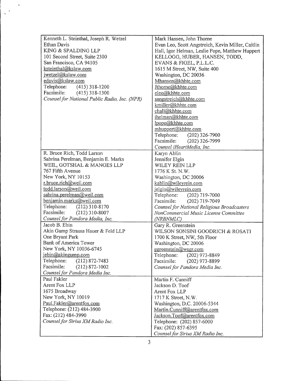| Kenneth L. Steinthal, Joseph R. Wetzel        | Mark Hansen, John Thorne                          |
|-----------------------------------------------|---------------------------------------------------|
| Ethan Davis                                   | Evan Leo, Scott Angstreich, Kevin Miller, Caitlin |
| KING & SPALDING LLP                           | Hall, Igor Helman, Leslie Pope, Matthew Huppert   |
| 101 Second Street, Suite 2300                 | KELLOGG, HUBER, HANSEN, TODD,                     |
| San Francisco, CA 94105                       | EVANS & FIGEL, P.L.L.C.                           |
| ksteinthal@kslaw.com                          | 1615 M Street, NW, Suite 400                      |
| jwetzel@kslaw.com                             | Washington, DC 20036                              |
| edavis@kslaw.com                              | Mhansen@khhte.com                                 |
| Telephone: (415) 318-1200                     | Jthorne@khhte.com                                 |
| Facsimile: (415) 318-1300                     | eleo@khhte.com                                    |
| Counsel for National Public Radio, Inc. (NPR) | sangstreich@khhte.com                             |
|                                               | kmiller@khhte.com                                 |
|                                               | chall@khhte.com                                   |
|                                               | ihelman@khhte.com                                 |
|                                               | lpope@khhte.com                                   |
|                                               | mhuppert@khhte.com                                |
|                                               | Telephone:<br>$(202)$ 326-7900                    |
|                                               | Facsimile:<br>$(202)$ 326-7999                    |
|                                               | Counsel iHeartMedia, Inc.                         |
| R. Bruce Rich, Todd Larson                    | Karyn Ablin                                       |
| Sabrina Perelman, Benjamin E. Marks           | Jennifer Elgin                                    |
| WEIL, GOTSHAL & MANGES LLP                    | WILEY REIN LLP                                    |
| 767 Fifth Avenue                              | 1776 K St. N.W.                                   |
| New York, NY 10153                            | Washington, DC 20006                              |
| r.bruce.rich@weil.com                         | kablin@wileyrein.com                              |
| todd.larson@weil.com                          | jelgin@wileyrein.com                              |
| sabrina.perelman@weil.com                     | Telephone:<br>$(202)$ 719-7000                    |
| benjamin.marks@weil.com                       | Facsimile:<br>$(202)$ 719-7049                    |
| Telephone:<br>$(212)$ 310-8170                | Counsel for National Religious Broadcasters       |
| Facsimile:<br>$(212)$ 310-8007                | NonCommercial Music License Committee             |
| Counsel for Pandora Media, Inc.               | (NRBNMLC)                                         |
| Jacob B. Ebin                                 | Gary R. Greenstein                                |
| Akin Gump Strauss Hauer & Feld LLP            | WILSON SONSINI GOODRICH & ROSATI                  |
| One Bryant Park                               | 1700 K Street, NW, 5th Floor                      |
| Bank of America Tower                         | Washington, DC 20006                              |
| New York, NY 10036-6745                       | ggreenstein@wsgr.com                              |
| jebin@akingump.com                            | Telephone:<br>$(202)$ 973-8849                    |
| Telephone:<br>$(212)$ 872-7483                | Facsimile:<br>(202) 973-8899                      |
| Facsimile:<br>$(212) 872 - 1002$              | Counsel for Pandora Media Inc.                    |
| Counsel for Pandora Media Inc.                |                                                   |
| Paul Fakler                                   | Martin F. Cunniff                                 |
| Arent Fox LLP                                 | Jackson D. Toof                                   |
| 1675 Broadway                                 | Arent Fox LLP                                     |
| New York, NY 10019                            | 1717 K Street, N.W.                               |
| Paul.Fakler@arentfox.com                      | Washington, D.C. 20006-5344                       |
| Telephone: (212) 484-3900                     | Martin.Cunniff@arentfox.com                       |
| Fax: (212) 484-3990                           | Jackson.Toof@arentfox.com                         |
| Counsel for Sirius XM Radio Inc.              | Telephone: (202) 857-6000                         |
|                                               | Fax: (202) 857-6395                               |
|                                               | Counsel for Sirius XM Radio Inc.                  |